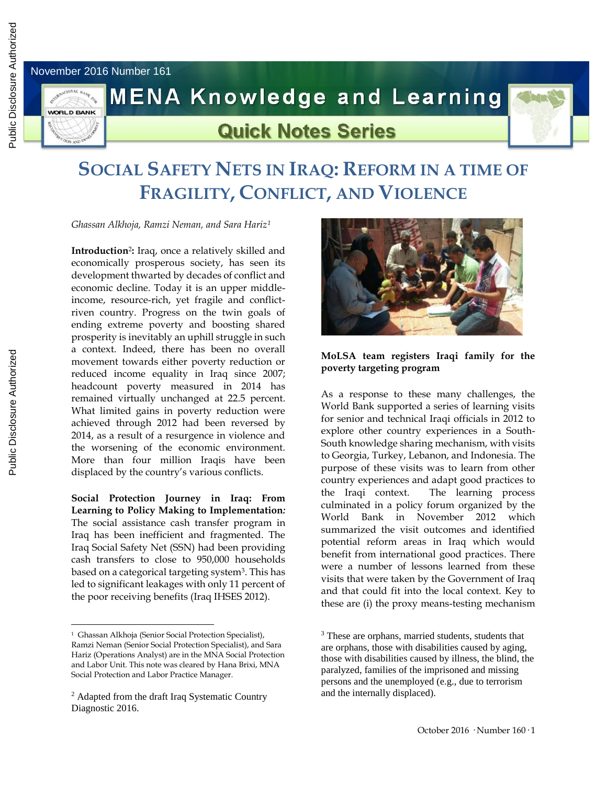November 2016 Number 161



## **MENA Knowledge and Learning**



## **Quick Notes Series**

## **SOCIAL SAFETY NETS IN IRAQ: REFORM IN A TIME OF FRAGILITY, CONFLICT, AND VIOLENCE**

*Ghassan Alkhoja, Ramzi Neman, and Sara Hariz<sup>1</sup>*

**Introduction**<sup>2</sup> **:** Iraq, once a relatively skilled and economically prosperous society, has seen its development thwarted by decades of conflict and economic decline. Today it is an upper middleincome, resource-rich, yet fragile and conflictriven country. Progress on the twin goals of ending extreme poverty and boosting shared prosperity is inevitably an uphill struggle in such a context. Indeed, there has been no overall movement towards either poverty reduction or reduced income equality in Iraq since 2007; headcount poverty measured in 2014 has remained virtually unchanged at 22.5 percent. What limited gains in poverty reduction were achieved through 2012 had been reversed by 2014, as a result of a resurgence in violence and the worsening of the economic environment. More than four million Iraqis have been displaced by the country's various conflicts.

**Social Protection Journey in Iraq: From Learning to Policy Making to Implementation***:*  The social assistance cash transfer program in Iraq has been inefficient and fragmented. The Iraq Social Safety Net (SSN) had been providing cash transfers to close to 950,000 households based on a categorical targeting system<sup>3</sup> . This has led to significant leakages with only 11 percent of the poor receiving benefits (Iraq IHSES 2012).



## **MoLSA team registers Iraqi family for the poverty targeting program**

As a response to these many challenges, the World Bank supported a series of learning visits for senior and technical Iraqi officials in 2012 to explore other country experiences in a South-South knowledge sharing mechanism, with visits to Georgia, Turkey, Lebanon, and Indonesia. The purpose of these visits was to learn from other country experiences and adapt good practices to the Iraqi context. The learning process culminated in a policy forum organized by the World Bank in November 2012 which summarized the visit outcomes and identified potential reform areas in Iraq which would benefit from international good practices. There were a number of lessons learned from these visits that were taken by the Government of Iraq and that could fit into the local context. Key to these are (i) the proxy means-testing mechanism

 $\overline{a}$ 

<sup>&</sup>lt;sup>1</sup> Ghassan Alkhoja (Senior Social Protection Specialist), Ramzi Neman (Senior Social Protection Specialist), and Sara Hariz (Operations Analyst) are in the MNA Social Protection and Labor Unit. This note was cleared by Hana Brixi, MNA Social Protection and Labor Practice Manager.

<sup>2</sup> Adapted from the draft Iraq Systematic Country Diagnostic 2016.

<sup>&</sup>lt;sup>3</sup> These are orphans, married students, students that are orphans, those with disabilities caused by aging, those with disabilities caused by illness, the blind, the paralyzed, families of the imprisoned and missing persons and the unemployed (e.g., due to terrorism and the internally displaced).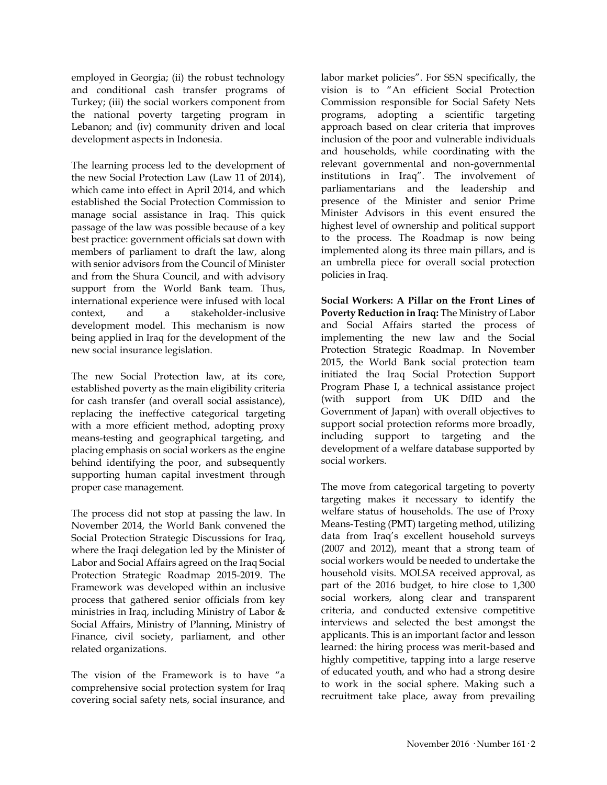employed in Georgia; (ii) the robust technology and conditional cash transfer programs of Turkey; (iii) the social workers component from the national poverty targeting program in Lebanon; and (iv) community driven and local development aspects in Indonesia.

The learning process led to the development of the new Social Protection Law (Law 11 of 2014), which came into effect in April 2014, and which established the Social Protection Commission to manage social assistance in Iraq. This quick passage of the law was possible because of a key best practice: government officials sat down with members of parliament to draft the law, along with senior advisors from the Council of Minister and from the Shura Council, and with advisory support from the World Bank team. Thus, international experience were infused with local context, and a stakeholder-inclusive development model. This mechanism is now being applied in Iraq for the development of the new social insurance legislation.

The new Social Protection law, at its core, established poverty as the main eligibility criteria for cash transfer (and overall social assistance), replacing the ineffective categorical targeting with a more efficient method, adopting proxy means-testing and geographical targeting, and placing emphasis on social workers as the engine behind identifying the poor, and subsequently supporting human capital investment through proper case management.

The process did not stop at passing the law. In November 2014, the World Bank convened the Social Protection Strategic Discussions for Iraq, where the Iraqi delegation led by the Minister of Labor and Social Affairs agreed on the Iraq Social Protection Strategic Roadmap 2015-2019. The Framework was developed within an inclusive process that gathered senior officials from key ministries in Iraq, including Ministry of Labor & Social Affairs, Ministry of Planning, Ministry of Finance, civil society, parliament, and other related organizations.

The vision of the Framework is to have "a comprehensive social protection system for Iraq covering social safety nets, social insurance, and labor market policies". For SSN specifically, the vision is to "An efficient Social Protection Commission responsible for Social Safety Nets programs, adopting a scientific targeting approach based on clear criteria that improves inclusion of the poor and vulnerable individuals and households, while coordinating with the relevant governmental and non-governmental institutions in Iraq". The involvement of parliamentarians and the leadership and presence of the Minister and senior Prime Minister Advisors in this event ensured the highest level of ownership and political support to the process. The Roadmap is now being implemented along its three main pillars, and is an umbrella piece for overall social protection policies in Iraq.

**Social Workers: A Pillar on the Front Lines of Poverty Reduction in Iraq:** The Ministry of Labor and Social Affairs started the process of implementing the new law and the Social Protection Strategic Roadmap. In November 2015, the World Bank social protection team initiated the Iraq Social Protection Support Program Phase I, a technical assistance project (with support from UK DfID and the Government of Japan) with overall objectives to support social protection reforms more broadly, including support to targeting and the development of a welfare database supported by social workers.

The move from categorical targeting to poverty targeting makes it necessary to identify the welfare status of households. The use of Proxy Means-Testing (PMT) targeting method, utilizing data from Iraq's excellent household surveys (2007 and 2012), meant that a strong team of social workers would be needed to undertake the household visits. MOLSA received approval, as part of the 2016 budget, to hire close to 1,300 social workers, along clear and transparent criteria, and conducted extensive competitive interviews and selected the best amongst the applicants. This is an important factor and lesson learned: the hiring process was merit-based and highly competitive, tapping into a large reserve of educated youth, and who had a strong desire to work in the social sphere. Making such a recruitment take place, away from prevailing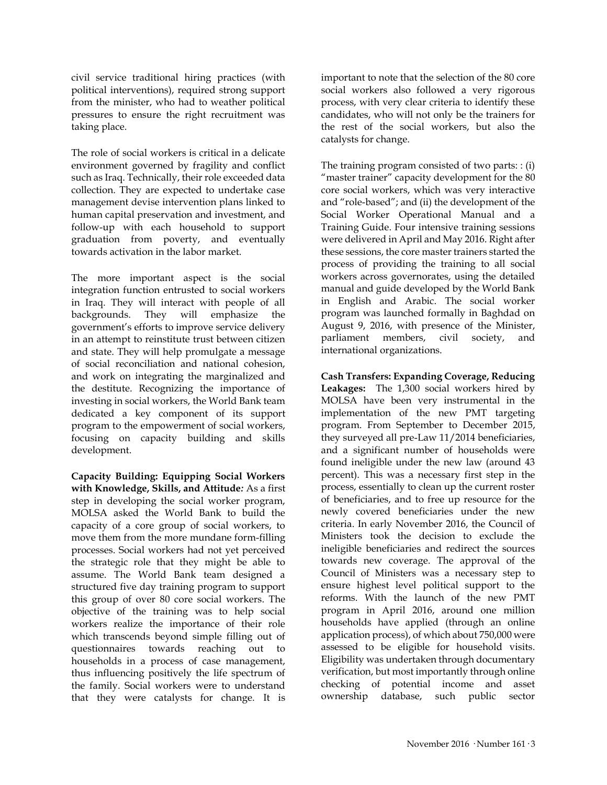civil service traditional hiring practices (with political interventions), required strong support from the minister, who had to weather political pressures to ensure the right recruitment was taking place.

The role of social workers is critical in a delicate environment governed by fragility and conflict such as Iraq. Technically, their role exceeded data collection. They are expected to undertake case management devise intervention plans linked to human capital preservation and investment, and follow-up with each household to support graduation from poverty, and eventually towards activation in the labor market.

The more important aspect is the social integration function entrusted to social workers in Iraq. They will interact with people of all backgrounds. They will emphasize the government's efforts to improve service delivery in an attempt to reinstitute trust between citizen and state. They will help promulgate a message of social reconciliation and national cohesion, and work on integrating the marginalized and the destitute. Recognizing the importance of investing in social workers, the World Bank team dedicated a key component of its support program to the empowerment of social workers, focusing on capacity building and skills development.

**Capacity Building: Equipping Social Workers with Knowledge, Skills, and Attitude***:* As a first step in developing the social worker program, MOLSA asked the World Bank to build the capacity of a core group of social workers, to move them from the more mundane form-filling processes. Social workers had not yet perceived the strategic role that they might be able to assume. The World Bank team designed a structured five day training program to support this group of over 80 core social workers. The objective of the training was to help social workers realize the importance of their role which transcends beyond simple filling out of questionnaires towards reaching out to households in a process of case management, thus influencing positively the life spectrum of the family. Social workers were to understand that they were catalysts for change. It is

important to note that the selection of the 80 core social workers also followed a very rigorous process, with very clear criteria to identify these candidates, who will not only be the trainers for the rest of the social workers, but also the catalysts for change.

The training program consisted of two parts: : (i) "master trainer" capacity development for the 80 core social workers, which was very interactive and "role-based"; and (ii) the development of the Social Worker Operational Manual and a Training Guide. Four intensive training sessions were delivered in April and May 2016. Right after these sessions, the core master trainers started the process of providing the training to all social workers across governorates, using the detailed manual and guide developed by the World Bank in English and Arabic. The social worker program was launched formally in Baghdad on August 9, 2016, with presence of the Minister, parliament members, civil society, and international organizations.

**Cash Transfers: Expanding Coverage, Reducing Leakages:** The 1,300 social workers hired by MOLSA have been very instrumental in the implementation of the new PMT targeting program. From September to December 2015, they surveyed all pre-Law 11/2014 beneficiaries, and a significant number of households were found ineligible under the new law (around 43 percent). This was a necessary first step in the process, essentially to clean up the current roster of beneficiaries, and to free up resource for the newly covered beneficiaries under the new criteria. In early November 2016, the Council of Ministers took the decision to exclude the ineligible beneficiaries and redirect the sources towards new coverage. The approval of the Council of Ministers was a necessary step to ensure highest level political support to the reforms. With the launch of the new PMT program in April 2016, around one million households have applied (through an online application process), of which about 750,000 were assessed to be eligible for household visits. Eligibility was undertaken through documentary verification, but most importantly through online checking of potential income and asset ownership database, such public sector